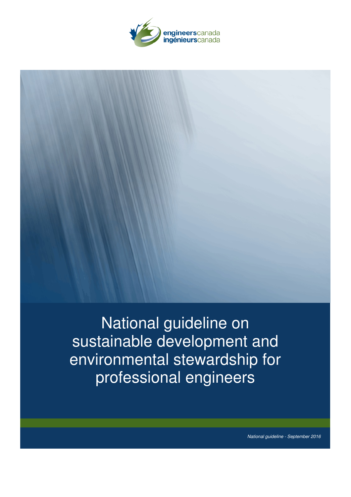



National guideline on sustainable development and environmental stewardship for professional engineers

*National guideline - September 2016*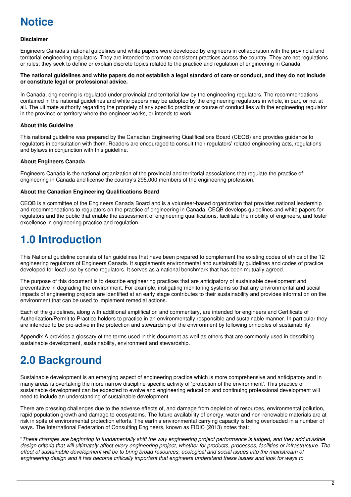

# **Disclaimer**

Engineers Canada's national guidelines and white papers were developed by engineers in collaboration with the provincial and territorial engineering regulators. They are intended to promote consistent practices across the country. They are not regulations or rules; they seek to define or explain discrete topics related to the practice and regulation of engineering in Canada.

#### The national quidelines and white papers do not establish a legal standard of care or conduct, and they do not include **or constitute legal or professional advice.**

In Canada, engineering is regulated under provincial and territorial law by the engineering regulators. The recommendations contained in the national guidelines and white papers may be adopted by the engineering regulators in whole, in part, or not at all. The ultimate authority regarding the propriety of any specific practice or course of conduct lies with the engineering regulator in the province or territory where the engineer works, or intends to work.

# **About this Guideline**

This national guideline was prepared by the Canadian Engineering Qualifications Board (CEQB) and provides guidance to regulators in consultation with them. Readers are encouraged to consult their regulators' related engineering acts, regulations and bylaws in conjunction with this guideline.

# **About Engineers Canada**

Engineers Canada is the national organization of the provincial and territorial associations that regulate the practice of engineering in Canada and license the country's 295,000 members of the engineering profession.

# **About the Canadian Engineering Qualifications Board**

CEQB is a committee of the Engineers Canada Board and is a volunteer-based organization that provides national leadership and recommendations to regulators on the practice of engineering in Canada. CEQB develops guidelines and white papers for regulators and the public that enable the assessment of engineering qualifications, facilitate the mobility of engineers, and foster excellence in engineering practice and regulation.

# **1.0 Introduction**

This National guideline consists of ten guidelines that have been prepared to complement the existing codes of ethics of the 12 engineering regulators of Engineers Canada. It supplements environmental and sustainability guidelines and codes of practice developed for local use by some regulators. It serves as a national benchmark that has been mutually agreed.

The purpose of this document is to describe engineering practices that are anticipatory of sustainable development and preventative in degrading the environment. For example, instigating monitoring systems so that any environmental and social impacts of engineering projects are identified at an early stage contributes to their sustainability and provides information on the environment that can be used to implement remedial actions.

Each of the guidelines, along with additional amplification and commentary, are intended for engineers and Certificate of Authorization/Permit to Practice holders to practice in an environmentally responsible and sustainable manner. In particular they are intended to be pro-active in the protection and stewardship of the environment by following principles of sustainability.

Appendix A provides a glossary of the terms used in this document as well as others that are commonly used in describing sustainable development, sustainability, environment and stewardship.

# **2.0 Background**

Sustainable development is an emerging aspect of engineering practice which is more comprehensive and anticipatory and in many areas is overtaking the more narrow discipline-specific activity of 'protection of the environment'. This practice of sustainable development can be expected to evolve and engineering education and continuing professional development will need to include an understanding of sustainable development.

There are pressing challenges due to the adverse effects of, and damage from depletion of resources, environmental pollution, rapid population growth and damage to ecosystems. The future availability of energy, water and non-renewable materials are at risk in spite of environmental protection efforts. The earth's environmental carrying capacity is being overloaded in a number of ways. The International Federation of Consulting Engineers, known as FIDIC (2013) notes that:

"These changes are beginning to fundamentally shift the way engineering project performance is judged, and they add invisible design criteria that will ultimately affect every engineering project, whether for products, processes, facilities or infrastructure. The effect of sustainable development will be to bring broad resources, ecological and social issues into the mainstream of engineering design and it has become critically important that engineers understand these issues and look for ways to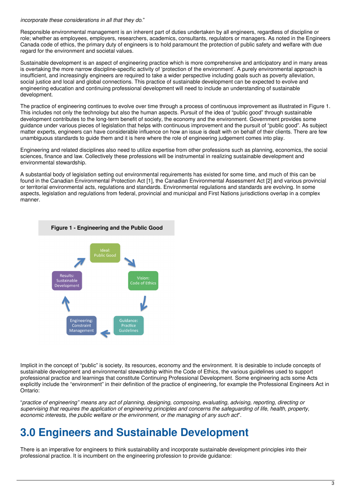*incorporate these considerations in all that they do*."

Responsible environmental management is an inherent part of duties undertaken by all engineers, regardless of discipline or role; whether as employees, employers, researchers, academics, consultants, regulators or managers. As noted in the Engineers Canada code of ethics, the primary duty of engineers is to hold paramount the protection of public safety and welfare with due regard for the environment and societal values.

Sustainable development is an aspect of engineering practice which is more comprehensive and anticipatory and in many areas is overtaking the more narrow discipline-specific activity of 'protection of the environment'. A purely environmental approach is insufficient, and increasingly engineers are required to take a wider perspective including goals such as poverty alleviation, social justice and local and global connections. This practice of sustainable development can be expected to evolve and engineering education and continuing professional development will need to include an understanding of sustainable development.

The practice of engineering continues to evolve over time through a process of continuous improvement as illustrated in Figure 1. This includes not only the technology but also the human aspects. Pursuit of the idea of "public good" through sustainable development contributes to the long-term benefit of society, the economy and the environment. Government provides some guidance under various pieces of legislation that helps with continuous improvement and the pursuit of "public good". As subject matter experts, engineers can have considerable influence on how an issue is dealt with on behalf of their clients. There are few unambiguous standards to guide them and it is here where the role of engineering judgement comes into play.

Engineering and related disciplines also need to utilize expertise from other professions such as planning, economics, the social sciences, finance and law. Collectively these professions will be instrumental in realizing sustainable development and environmental stewardship.

A substantial body of legislation setting out environmental requirements has existed for some time, and much of this can be found in the Canadian Environmental Protection Act [1], the Canadian Environmental Assessment Act [2] and various provincial or territorial environmental acts, regulations and standards. Environmental regulations and standards are evolving. In some aspects, legislation and regulations from federal, provincial and municipal and First Nations jurisdictions overlap in a complex manner.



Implicit in the concept of "public" is society, its resources, economy and the environment. It is desirable to include concepts of sustainable development and environmental stewardship within the Code of Ethics, the various guidelines used to support professional practice and learnings that constitute Continuing Professional Development. Some engineering acts some Acts explicitly include the "environment" in their definition of the practice of engineering, for example the Professional Engineers Act in Ontario:

"practice of engineering" means any act of planning, designing, composing, evaluating, advising, reporting, directing or supervising that requires the application of engineering principles and concerns the safeguarding of life, health, property, *economic interests, the public welfare or the environment, or the managing of any such act*".

# **3.0 Engineers and Sustainable Development**

There is an imperative for engineers to think sustainability and incorporate sustainable development principles into their professional practice. It is incumbent on the engineering profession to provide guidance: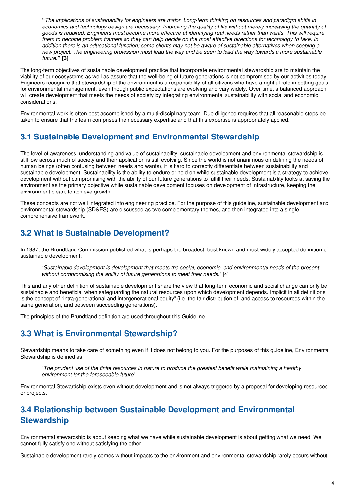"The implications of sustainability for engineers are major. Long-term thinking on resources and paradigm shifts in economics and technology design are necessary. Improving the quality of life without merely increasing the quantity of goods is required. Engineers must become more effective at identifying real needs rather than wants. This will require them to become problem framers so they can help decide on the most effective directions for technology to take. In addition there is an educational function; some clients may not be aware of sustainable alternatives when scoping a new project. The engineering profession must lead the way and be seen to lead the way towards a more sustainable *future***." [3]**

The long-term objectives of sustainable development practice that incorporate environmental stewardship are to maintain the viability of our ecosystems as well as assure that the well-being of future generations is not compromised by our activities today. Engineers recognize that stewardship of the environment is a responsibility of all citizens who have a rightful role in setting goals for environmental management, even though public expectations are evolving and vary widely. Over time, a balanced approach will create development that meets the needs of society by integrating environmental sustainability with social and economic considerations.

Environmental work is often best accomplished by a multi-disciplinary team. Due diligence requires that all reasonable steps be taken to ensure that the team comprises the necessary expertise and that this expertise is appropriately applied.

# **3.1 Sustainable Development and Environmental Stewardship**

The level of awareness, understanding and value of sustainability, sustainable development and environmental stewardship is still low across much of society and their application is still evolving. Since the world is not unanimous on defining the needs of human beings (often confusing between needs and wants), it is hard to correctly differentiate between sustainability and sustainable development. Sustainability is the ability to endure or hold on while sustainable development is a strategy to achieve development without compromising with the ability of our future generations to fulfill their needs. Sustainability looks at saving the environment as the primary objective while sustainable development focuses on development of infrastructure, keeping the environment clean, to achieve growth.

These concepts are not well integrated into engineering practice. For the purpose of this guideline, sustainable development and environmental stewardship (SD&ES) are discussed as two complementary themes, and then integrated into a single comprehensive framework.

# **3.2 What is Sustainable Development?**

In 1987, the Brundtland Commission published what is perhaps the broadest, best known and most widely accepted definition of sustainable development:

"*Sustainable development is development that meets the social, economic, and environmental needs of the present without compromising the ability of future generations to meet their needs*." [4]

This and any other definition of sustainable development share the view that long-term economic and social change can only be sustainable and beneficial when safeguarding the natural resources upon which development depends. Implicit in all definitions is the concept of "intra-generational and intergenerational equity" (i.e. the fair distribution of, and access to resources within the same generation, and between succeeding generations).

The principles of the Brundtland definition are used throughout this Guideline.

# **3.3 What is Environmental Stewardship?**

Stewardship means to take care of something even if it does not belong to you. For the purposes of this guideline, Environmental Stewardship is defined as:

"The prudent use of the finite resources in nature to produce the greatest benefit while maintaining a healthy *environment for the foreseeable future*".

Environmental Stewardship exists even without development and is not always triggered by a proposal for developing resources or projects.

# **3.4 Relationship between Sustainable Development and Environmental Stewardship**

Environmental stewardship is about keeping what we have while sustainable development is about getting what we need. We cannot fully satisfy one without satisfying the other.

Sustainable development rarely comes without impacts to the environment and environmental stewardship rarely occurs without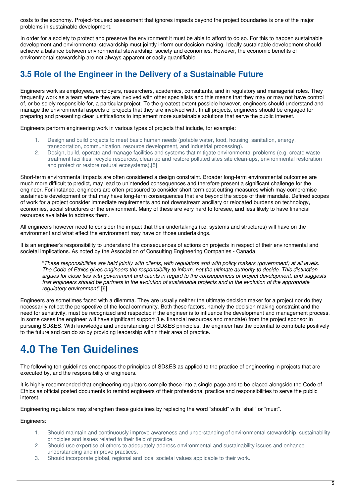costs to the economy. Project-focused assessment that ignores impacts beyond the project boundaries is one of the major problems in sustainable development.

In order for a society to protect and preserve the environment it must be able to afford to do so. For this to happen sustainable development and environmental stewardship must jointly inform our decision making. Ideally sustainable development should achieve a balance between environmental stewardship, society and economies. However, the economic benefits of environmental stewardship are not always apparent or easily quantifiable.

# **3.5 Role of the Engineer in the Delivery of a Sustainable Future**

Engineers work as employees, employers, researchers, academics, consultants, and in regulatory and managerial roles. They frequently work as a team where they are involved with other specialists and this means that they may or may not have control of, or be solely responsible for, a particular project. To the greatest extent possible however, engineers should understand and manage the environmental aspects of projects that they are involved with. In all projects, engineers should be engaged for preparing and presenting clear justifications to implement more sustainable solutions that serve the public interest.

Engineers perform engineering work in various types of projects that include, for example:

- 1. Design and build projects to meet basic human needs (potable water, food, housing, sanitation, energy, transportation, communication, resource development, and industrial processing).
- 2. Design, build, operate and manage facilities and systems that mitigate environmental problems (e.g. create waste treatment facilities, recycle resources, clean up and restore polluted sites site clean-ups, environmental restoration and protect or restore natural ecosystems).[5]

Short-term environmental impacts are often considered a design constraint. Broader long-term environmental outcomes are much more difficult to predict, may lead to unintended consequences and therefore present a significant challenge for the engineer. For instance, engineers are often pressured to consider short-term cost cutting measures which may compromise sustainable development or that may have long-term consequences that are beyond the scope of their mandate. Defined scopes of work for a project consider immediate requirements and not downstream ancillary or relocated burdens on technology, economies, social structures or the environment. Many of these are very hard to foresee, and less likely to have financial resources available to address them.

All engineers however need to consider the impact that their undertakings (i.e. systems and structures) will have on the environment and what effect the environment may have on those undertakings.

It is an engineer's responsibility to understand the consequences of actions on projects in respect of their environmental and societal implications. As noted by the Association of Consulting Engineering Companies - Canada,

"These responsibilities are held jointly with clients, with regulators and with policy makers (government) at all levels. The Code of Ethics gives engineers the responsibility to inform, not the ultimate authority to decide. This distinction arques for close ties with government and clients in regard to the consequences of project development, and suggests that engineers should be partners in the evolution of sustainable projects and in the evolution of the appropriate *regulatory environment*" [6]

Engineers are sometimes faced with a dilemma. They are usually neither the ultimate decision maker for a project nor do they necessarily reflect the perspective of the local community. Both these factors, namely the decision making constraint and the need for sensitivity, must be recognized and respected if the engineer is to influence the development and management process. In some cases the engineer will have significant support (i.e. financial resources and mandate) from the project sponsor in pursuing SD&ES. With knowledge and understanding of SD&ES principles, the engineer has the potential to contribute positively to the future and can do so by providing leadership within their area of practice.

# **4.0 The Ten Guidelines**

The following ten guidelines encompass the principles of SD&ES as applied to the practice of engineering in projects that are executed by, and the responsibility of engineers.

It is highly recommended that engineering regulators compile these into a single page and to be placed alongside the Code of Ethics as official posted documents to remind engineers of their professional practice and responsibilities to serve the public interest.

Engineering regulators may strengthen these guidelines by replacing the word "should" with "shall" or "must".

# Engineers:

- 1. Should maintain and continuously improve awareness and understanding of environmental stewardship, sustainability principles and issues related to their field of practice.
- 2. Should use expertise of others to adequately address environmental and sustainability issues and enhance understanding and improve practices.
- 3. Should incorporate global, regional and local societal values applicable to their work.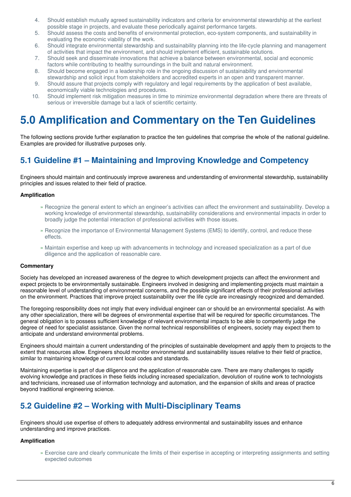- 4. Should establish mutually agreed sustainability indicators and criteria for environmental stewardship at the earliest possible stage in projects, and evaluate these periodically against performance targets.
- 5. Should assess the costs and benefits of environmental protection, eco-system components, and sustainability in evaluating the economic viability of the work.
- 6. Should integrate environmental stewardship and sustainability planning into the life-cycle planning and management of activities that impact the environment, and should implement efficient, sustainable solutions.
- 7. Should seek and disseminate innovations that achieve a balance between environmental, social and economic factors while contributing to healthy surroundings in the built and natural environment.
- 8. Should become engaged in a leadership role in the ongoing discussion of sustainability and environmental stewardship and solicit input from stakeholders and accredited experts in an open and transparent manner.
- 9. Should assure that projects comply with regulatory and legal requirements by the application of best available, economically viable technologies and procedures.
- 10. Should implement risk mitigation measures in time to minimize environmental degradation where there are threats of serious or irreversible damage but a lack of scientific certainty.

# **5.0 Amplification and Commentary on the Ten Guidelines**

The following sections provide further explanation to practice the ten guidelines that comprise the whole of the national guideline. Examples are provided for illustrative purposes only.

# **5.1 Guideline #1 – Maintaining and Improving Knowledge and Competency**

Engineers should maintain and continuously improve awareness and understanding of environmental stewardship, sustainability principles and issues related to their field of practice.

# **Amplification**

- » Recognize the general extent to which an engineer's activities can affect the environment and sustainability. Develop a working knowledge of environmental stewardship, sustainability considerations and environmental impacts in order to broadly judge the potential interaction of professional activities with those issues.
- » Recognize the importance of Environmental Management Systems (EMS) to identify, control, and reduce these effects.
- » Maintain expertise and keep up with advancements in technology and increased specialization as a part of due diligence and the application of reasonable care.

# **Commentary**

Society has developed an increased awareness of the degree to which development projects can affect the environment and expect projects to be environmentally sustainable. Engineers involved in designing and implementing projects must maintain a reasonable level of understanding of environmental concerns, and the possible significant effects of their professional activities on the environment. Practices that improve project sustainability over the life cycle are increasingly recognized and demanded.

The foregoing responsibility does not imply that every individual engineer can or should be an environmental specialist. As with any other specialization, there will be degrees of environmental expertise that will be required for specific circumstances. The general obligation is to possess sufficient knowledge of relevant environmental impacts to be able to competently judge the degree of need for specialist assistance. Given the normal technical responsibilities of engineers, society may expect them to anticipate and understand environmental problems.

Engineers should maintain a current understanding of the principles of sustainable development and apply them to projects to the extent that resources allow. Engineers should monitor environmental and sustainability issues relative to their field of practice, similar to maintaining knowledge of current local codes and standards.

Maintaining expertise is part of due diligence and the application of reasonable care. There are many challenges to rapidly evolving knowledge and practices in these fields including increased specialization, devolution of routine work to technologists and technicians, increased use of information technology and automation, and the expansion of skills and areas of practice beyond traditional engineering science.

# **5.2 Guideline #2 – Working with Multi-Disciplinary Teams**

Engineers should use expertise of others to adequately address environmental and sustainability issues and enhance understanding and improve practices.

# **Amplification**

Exercise care and clearly communicate the limits of their expertise in accepting or interpreting assignments and setting » expected outcomes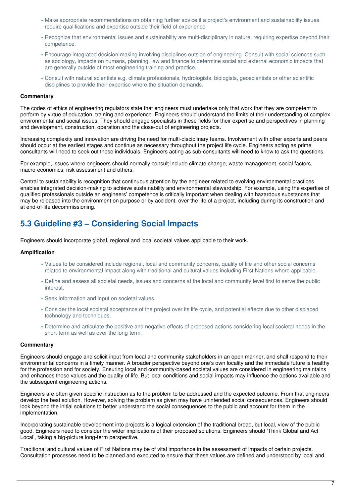- » Make appropriate recommendations on obtaining further advice if a project's environment and sustainability issues require qualifications and expertise outside their field of experience
- » Recognize that environmental issues and sustainability are multi-disciplinary in nature, requiring expertise beyond their competence.
- Encourage integrated decision-making involving disciplines outside of engineering. Consult with social sciences such » as sociology, impacts on humans, planning, law and finance to determine social and external economic impacts that are generally outside of most engineering training and practice.
- Consult with natural scientists e.g. climate professionals, hydrologists, biologists, geoscientists or other scientific » disciplines to provide their expertise where the situation demands.

### **Commentary**

The codes of ethics of engineering regulators state that engineers must undertake only that work that they are competent to perform by virtue of education, training and experience. Engineers should understand the limits of their understanding of complex environmental and social issues. They should engage specialists in these fields for their expertise and perspectives in planning and development, construction, operation and the close-out of engineering projects.

Increasing complexity and innovation are driving the need for multi-disciplinary teams. Involvement with other experts and peers should occur at the earliest stages and continue as necessary throughout the project life cycle. Engineers acting as prime consultants will need to seek out these individuals. Engineers acting as sub-consultants will need to know to ask the questions.

For example, issues where engineers should normally consult include climate change, waste management, social factors, macro-economics, risk assessment and others.

Central to sustainability is recognition that continuous attention by the engineer related to evolving environmental practices enables integrated decision-making to achieve sustainability and environmental stewardship. For example, using the expertise of qualified professionals outside an engineers' competence is critically important when dealing with hazardous substances that may be released into the environment on purpose or by accident, over the life of a project, including during its construction and at end-of-life decommissioning.

# **5.3 Guideline #3 – Considering Social Impacts**

Engineers should incorporate global, regional and local societal values applicable to their work.

#### **Amplification**

- » Values to be considered include regional, local and community concerns, quality of life and other social concerns related to environmental impact along with traditional and cultural values including First Nations where applicable.
- Define and assess all societal needs, issues and concerns at the local and community level first to serve the public » interest.
- » Seek information and input on societal values.
- » Consider the local societal acceptance of the project over its life cycle, and potential effects due to other displaced technology and techniques.
- » Determine and articulate the positive and negative effects of proposed actions considering local societal needs in the short-term as well as over the long-term.

# **Commentary**

Engineers should engage and solicit input from local and community stakeholders in an open manner, and shall respond to their environmental concerns in a timely manner. A broader perspective beyond one's own locality and the immediate future is healthy for the profession and for society. Ensuring local and community-based societal values are considered in engineering maintains and enhances these values and the quality of life. But local conditions and social impacts may influence the options available and the subsequent engineering actions.

Engineers are often given specific instruction as to the problem to be addressed and the expected outcome. From that engineers develop the best solution. However, solving the problem as given may have unintended social consequences. Engineers should look beyond the initial solutions to better understand the social consequences to the public and account for them in the implementation.

Incorporating sustainable development into projects is a logical extension of the traditional broad, but local, view of the public good. Engineers need to consider the wider implications of their proposed solutions. Engineers should 'Think Global and Act Local', taking a big-picture long-term perspective.

Traditional and cultural values of First Nations may be of vital importance in the assessment of impacts of certain projects. Consultation processes need to be planned and executed to ensure that these values are defined and understood by local and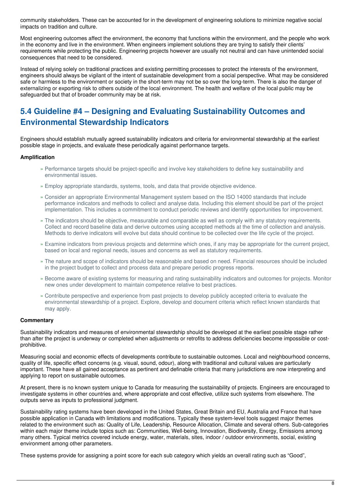community stakeholders. These can be accounted for in the development of engineering solutions to minimize negative social impacts on tradition and culture.

Most engineering outcomes affect the environment, the economy that functions within the environment, and the people who work in the economy and live in the environment. When engineers implement solutions they are trying to satisfy their clients' requirements while protecting the public. Engineering projects however are usually not neutral and can have unintended social consequences that need to be considered.

Instead of relying solely on traditional practices and existing permitting processes to protect the interests of the environment, engineers should always be vigilant of the intent of sustainable development from a social perspective. What may be considered safe or harmless to the environment or society in the short-term may not be so over the long-term. There is also the danger of externalizing or exporting risk to others outside of the local environment. The health and welfare of the local public may be safeguarded but that of broader community may be at risk.

# **5.4 Guideline #4 – Designing and Evaluating Sustainability Outcomes and Environmental Stewardship Indicators**

Engineers should establish mutually agreed sustainability indicators and criteria for environmental stewardship at the earliest possible stage in projects, and evaluate these periodically against performance targets.

# **Amplification**

- » Performance targets should be project-specific and involve key stakeholders to define key sustainability and environmental issues.
- » Employ appropriate standards, systems, tools, and data that provide objective evidence.
- Consider an appropriate Environmental Management system based on the ISO 14000 standards that include » performance indicators and methods to collect and analyse data. Including this element should be part of the project implementation. This includes a commitment to conduct periodic reviews and identify opportunities for improvement.
- The indicators should be objective, measurable and comparable as well as comply with any statutory requirements. » Collect and record baseline data and derive outcomes using accepted methods at the time of collection and analysis. Methods to derive indicators will evolve but data should continue to be collected over the life cycle of the project.
- » Examine indicators from previous projects and determine which ones, if any may be appropriate for the current project, based on local and regional needs, issues and concerns as well as statutory requirements.
- The nature and scope of indicators should be reasonable and based on need. Financial resources should be included » in the project budget to collect and process data and prepare periodic progress reports.
- » Become aware of existing systems for measuring and rating sustainability indicators and outcomes for projects. Monitor new ones under development to maintain competence relative to best practices.
- Contribute perspective and experience from past projects to develop publicly accepted criteria to evaluate the » environmental stewardship of a project. Explore, develop and document criteria which reflect known standards that may apply.

# **Commentary**

Sustainability indicators and measures of environmental stewardship should be developed at the earliest possible stage rather than after the project is underway or completed when adjustments or retrofits to address deficiencies become impossible or costprohibitive.

Measuring social and economic effects of developments contribute to sustainable outcomes. Local and neighbourhood concerns, quality of life, specific effect concerns (e.g. visual, sound, odour), along with traditional and cultural values are particularly important. These have all gained acceptance as pertinent and definable criteria that many jurisdictions are now interpreting and applying to report on sustainable outcomes.

At present, there is no known system unique to Canada for measuring the sustainability of projects. Engineers are encouraged to investigate systems in other countries and, where appropriate and cost effective, utilize such systems from elsewhere. The outputs serve as inputs to professional judgment.

Sustainability rating systems have been developed in the United States, Great Britain and EU, Australia and France that have possible application in Canada with limitations and modifications. Typically these system-level tools suggest major themes related to the environment such as: Quality of Life, Leadership, Resource Allocation, Climate and several others. Sub-categories within each major theme include topics such as: Communities, Well-being, Innovation, Biodiversity, Energy, Emissions among many others. Typical metrics covered include energy, water, materials, sites, indoor / outdoor environments, social, existing environment among other parameters.

These systems provide for assigning a point score for each sub category which yields an overall rating such as "Good",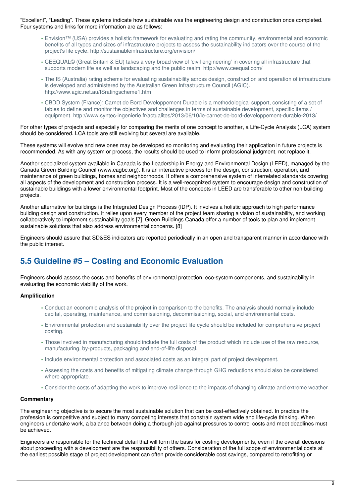"Excellent", "Leading". These systems indicate how sustainable was the engineering design and construction once completed. Four systems and links for more information are as follows:

- Envision™ (USA) provides a holistic framework for evaluating and rating the community, environmental and economic » benefits of all types and sizes of infrastructure projects to assess the sustainability indicators over the course of the project's life cycle. http://sustainableinfrastructure.org/envision/
- » CEEQUAL© (Great Britain & EU) takes a very broad view of 'civil engineering' in covering all infrastructure that supports modern life as well as landscaping and the public realm. http://www.ceequal.com/
- The IS (Australia) rating scheme for evaluating sustainability across design, construction and operation of infrastructure » is developed and administered by the Australian Green Infrastructure Council (AGIC). http://www.agic.net.au/ISratingscheme1.htm
- CBDD System (France): Carnet de Bord Développement Durable is a methodological support, consisting of a set of » tables to define and monitor the objectives and challenges in terms of sustainable development, specific items / equipment. http://www.syntec-ingenierie.fr/actualites/2013/06/10/le-carnet-de-bord-developpement-durable-2013/

For other types of projects and especially for comparing the merits of one concept to another, a Life-Cycle Analysis (LCA) system should be considered. LCA tools are still evolving but several are available.

These systems will evolve and new ones may be developed so monitoring and evaluating their application in future projects is recommended. As with any system or process, the results should be used to inform professional judgment, not replace it.

Another specialized system available in Canada is the Leadership in Energy and Environmental Design (LEED), managed by the Canada Green Building Council (www.cagbc.org). It is an interactive process for the design, construction, operation, and maintenance of green buildings, homes and neighborhoods. It offers a comprehensive system of interrelated standards covering all aspects of the development and construction process. It is a well-recognized system to encourage design and construction of sustainable buildings with a lower environmental footprint. Most of the concepts in LEED are transferable to other non-building projects.

Another alternative for buildings is the Integrated Design Process (IDP). It involves a holistic approach to high performance building design and construction. It relies upon every member of the project team sharing a vision of sustainability, and working collaboratively to implement sustainability goals [7]. Green Buildings Canada offer a number of tools to plan and implement sustainable solutions that also address environmental concerns. [8]

Engineers should assure that SD&ES indicators are reported periodically in an open and transparent manner in accordance with the public interest.

# **5.5 Guideline #5 – Costing and Economic Evaluation**

Engineers should assess the costs and benefits of environmental protection, eco-system components, and sustainability in evaluating the economic viability of the work.

# **Amplification**

- Conduct an economic analysis of the project in comparison to the benefits. The analysis should normally include » capital, operating, maintenance, and commissioning, decommissioning, social, and environmental costs.
- Environmental protection and sustainability over the project life cycle should be included for comprehensive project » costing.
- Those involved in manufacturing should include the full costs of the product which include use of the raw resource, » manufacturing, by-products, packaging and end-of-life disposal.
- » Include environmental protection and associated costs as an integral part of project development.
- » Assessing the costs and benefits of mitigating climate change through GHG reductions should also be considered where appropriate.
- » Consider the costs of adapting the work to improve resilience to the impacts of changing climate and extreme weather.

# **Commentary**

The engineering objective is to secure the most sustainable solution that can be cost-effectively obtained. In practice the profession is competitive and subject to many competing interests that constrain system wide and life-cycle thinking. When engineers undertake work, a balance between doing a thorough job against pressures to control costs and meet deadlines must be achieved.

Engineers are responsible for the technical detail that will form the basis for costing developments, even if the overall decisions about proceeding with a development are the responsibility of others. Consideration of the full scope of environmental costs at the earliest possible stage of project development can often provide considerable cost savings, compared to retrofitting or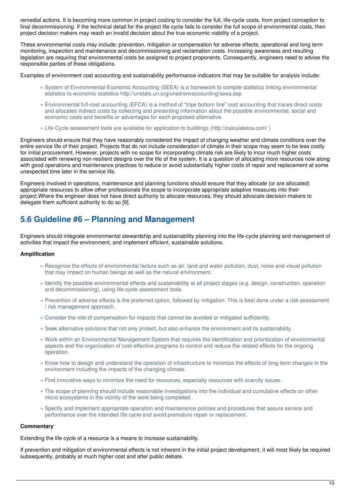remedial actions. It is becoming more common in project costing to consider the full, life-cycle costs, from project conception to final decommissioning. If the technical detail for the project life cycle fails to consider the full scope of environmental costs, then project decision makers may reach an invalid decision about the true economic viability of a project.

These environmental costs may include: prevention, mitigation or compensation for adverse effects, operational and long term monitoring, inspection and maintenance and decommissioning and reclamation costs. Increasing awareness and resulting legislation are requiring that environmental costs be assigned to project proponents. Consequently, engineers need to advise the responsible parties of these obligations.

Examples of environment cost accounting and sustainability performance indicators that may be suitable for analysis include:

- » System of Environmental-Economic Accounting (SEEA) is a framework to compile statistics linking environmental statistics to economic statistics http://unstats.un.org/unsd/envaccounting/seea.asp
- Environmental full-cost accounting (EFCA) is a method of "tripe bottom line" cost accounting that traces direct costs » and allocates indirect costs by collecting and presenting information about the possible environmental, social and economic costs and benefits or advantages for each proposed alternative.
- » Life Cycle assessment tools are available for application to buildings (http://calculatelca.com/ )

Engineers should ensure that they have reasonably considered the impact of changing weather and climate conditions over the entire service life of their project. Projects that do not include consideration of climate in their scope may seem to be less costly for initial procurement. However, projects with no scope for incorporating climate risk are likely to incur much higher costs associated with renewing non-resilient designs over the life of the system. It is a question of allocating more resources now along with good operations and maintenance practices to reduce or avoid substantially higher costs of repair and replacement at some unexpected time later in the service life.

Engineers involved in operations, maintenance and planning functions should ensure that they allocate (or are allocated) appropriate resources to allow other professionals the scope to incorporate appropriate adaptive measures into their project.Where the engineer does not have direct authority to allocate resources, they should advocate decision-makers to delegate them sufficient authority to do so [9].

# **5.6 Guideline #6 – Planning and Management**

Engineers should integrate environmental stewardship and sustainability planning into the life-cycle planning and management of activities that impact the environment, and implement efficient, sustainable solutions.

# **Amplification**

- » Recognize the effects of environmental factors such as air, land and water pollution, dust, noise and visual pollution that may impact on human beings as well as the natural environment.
- » Identify the possible environmental effects and sustainability at all project stages (e.g. design, construction, operation and decommissioning), using life-cycle assessment tools.
- » Prevention of adverse effects is the preferred option, followed by mitigation. This is best done under a risk assessment / risk management approach.
- » Consider the role of compensation for impacts that cannot be avoided or mitigated sufficiently.
- » Seek alternative solutions that not only protect, but also enhance the environment and its sustainability.
- Work within an Environmental Management System that requires the identification and prioritization of environmental » aspects and the organization of cost-effective programs to control and reduce the related effects for the ongoing operation.
- » Know how to design and understand the operation of infrastructure to minimize the effects of long term changes in the environment including the impacts of the changing climate.
- » Find innovative ways to minimize the need for resources, especially resources with scarcity issues.
- The scope of planning should include reasonable investigations into the individual and cumulative effects on other » micro ecosystems in the vicinity of the work being completed.
- » Specify and implement appropriate operation and maintenance policies and procedures that assure service and performance over the intended life cycle and avoid premature repair or replacement.

#### **Commentary**

Extending the life cycle of a resource is a means to increase sustainability.

If prevention and mitigation of environmental effects is not inherent in the initial project development, it will most likely be required subsequently, probably at much higher cost and after public debate.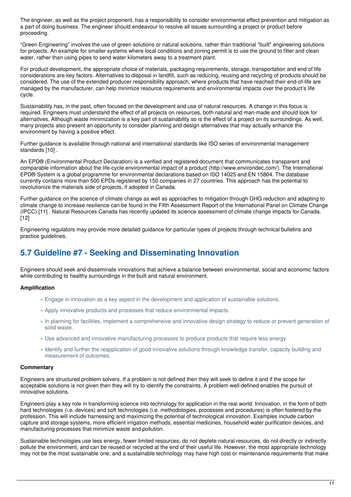The engineer, as well as the project proponent, has a responsibility to consider environmental effect prevention and mitigation as a part of doing business. The engineer should endeavour to resolve all issues surrounding a project or product before proceeding.

"Green Engineering" involves the use of green solutions or natural solutions, rather than traditional "built" engineering solutions for projects. An example for smaller systems where local conditions and zoning permit is to use the ground to filter and clean water, rather than using pipes to send water kilometers away to a treatment plant.

For product development, the appropriate choice of materials, packaging requirements, storage, transportation and end of life considerations are key factors. Alternatives to disposal in landfill, such as reducing, reusing and recycling of products should be considered. The use of the extended producer responsibility approach, where products that have reached their end-of-life are managed by the manufacturer, can help minimize resource requirements and environmental impacts over the product's life cycle.

Sustainability has, in the past, often focused on the development and use of natural resources. A change in this focus is required. Engineers must understand the effect of all projects on resources, both natural and man-made and should look for alternatives. Although waste minimization is a key part of sustainability so is the effect of a project on its surroundings. As well, many projects also present an opportunity to consider planning and design alternatives that may actually enhance the environment by having a positive effect.

Further guidance is available through national and international standards like ISO series of environmental management standards [10] .

An EPD® (Environmental Product Declaration) is a verified and registered document that communicates transparent and comparable information about the life-cycle environmental impact of a product (http://www.environdec.com/). The International EPD® System is a global programme for environmental declarations based on ISO 14025 and EN 15804. The database currently contains more than 500 EPDs registered by 150 companies in 27 countries. This approach has the potential to revolutionize the materials side of projects, if adopted in Canada.

Further guidance on the science of climate change as well as approaches to mitigation through GHG reduction and adapting to climate change to increase resilience can be found in the Fifth Assessment Report of the International Panel on Climate Change (IPCC) [11] . Natural Resources Canada has recently updated its science assessment of climate change impacts for Canada. [12]

Engineering regulators may provide more detailed guidance for particular types of projects through technical bulletins and practice guidelines.

# **5.7 Guideline #7 - Seeking and Disseminating Innovation**

Engineers should seek and disseminate innovations that achieve a balance between environmental, social and economic factors while contributing to healthy surroundings in the built and natural environment.

# **Amplification**

- » Engage in innovation as a key aspect in the development and application of sustainable solutions.
- » Apply innovative products and processes that reduce environmental impacts.
- » In planning for facilities, implement a comprehensive and innovative design strategy to reduce or prevent generation of solid waste.
- » Use advanced and innovative manufacturing processes to produce products that require less energy
- » Identify and further the reapplication of good innovative solutions through knowledge transfer, capacity building and measurement of outcomes.

# **Commentary**

Engineers are structured problem solvers. If a problem is not defined then they will seek to define it and if the scope for acceptable solutions is not given then they will try to identify the constraints. A problem well-defined enables the pursuit of innovative solutions.

Engineers play a key role in transforming science into technology for application in the real world. Innovation, in the form of both hard technologies (i.e. devices) and soft technologies (i.e. methodologies, processes and procedures) is often fostered by the profession. This will include harnessing and maximizing the potential of technological innovation. Examples include carbon capture and storage systems, more efficient irrigation methods, essential medicines, household water purification devices, and manufacturing processes that minimize waste and pollution.

Sustainable technologies use less energy, fewer limited resources, do not deplete natural resources, do not directly or indirectly pollute the environment, and can be reused or recycled at the end of their useful life. However, the most appropriate technology may not be the most sustainable one; and a sustainable technology may have high cost or maintenance requirements that make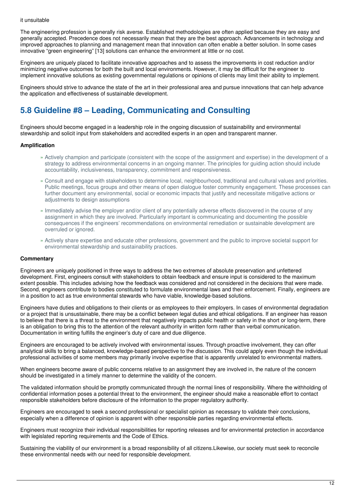#### it unsuitable

The engineering profession is generally risk averse. Established methodologies are often applied because they are easy and generally accepted. Precedence does not necessarily mean that they are the best approach. Advancements in technology and improved approaches to planning and management mean that innovation can often enable a better solution. In some cases innovative "green engineering" [13] solutions can enhance the environment at little or no cost.

Engineers are uniquely placed to facilitate innovative approaches and to assess the improvements in cost reduction and/or minimizing negative outcomes for both the built and local environments. However, it may be difficult for the engineer to implement innovative solutions as existing governmental regulations or opinions of clients may limit their ability to implement.

Engineers should strive to advance the state of the art in their professional area and pursue innovations that can help advance the application and effectiveness of sustainable development.

# **5.8 Guideline #8 – Leading, Communicating and Consulting**

Engineers should become engaged in a leadership role in the ongoing discussion of sustainability and environmental stewardship and solicit input from stakeholders and accredited experts in an open and transparent manner.

# **Amplification**

- » Actively champion and participate (consistent with the scope of the assignment and expertise) in the development of a strategy to address environmental concerns in an ongoing manner. The principles for guiding action should include accountability, inclusiveness, transparency, commitment and responsiveness.
- Consult and engage with stakeholders to determine local, neighbourhood, traditional and cultural values and priorities. » Public meetings, focus groups and other means of open dialogue foster community engagement. These processes can further document any environmental, social or economic impacts that justify and necessitate mitigative actions or adjustments to design assumptions
- » Immediately advise the employer and/or client of any potentially adverse effects discovered in the course of any assignment in which they are involved. Particularly important is communicating and documenting the possible consequences if the engineers' recommendations on environmental remediation or sustainable development are overruled or ignored.
- Actively share expertise and educate other professions, government and the public to improve societal support for » environmental stewardship and sustainability practices.

#### **Commentary**

Engineers are uniquely positioned in three ways to address the two extremes of absolute preservation and unfettered development. First, engineers consult with stakeholders to obtain feedback and ensure input is considered to the maximum extent possible. This includes advising how the feedback was considered and not considered in the decisions that were made. Second, engineers contribute to bodies constituted to formulate environmental laws and their enforcement. Finally, engineers are in a position to act as true environmental stewards who have viable, knowledge-based solutions.

Engineers have duties and obligations to their clients or as employees to their employers. In cases of environmental degradation or a project that is unsustainable, there may be a conflict between legal duties and ethical obligations. If an engineer has reason to believe that there is a threat to the environment that negatively impacts public health or safety in the short or long-term, there is an obligation to bring this to the attention of the relevant authority in written form rather than verbal communication. Documentation in writing fulfills the engineer's duty of care and due diligence.

Engineers are encouraged to be actively involved with environmental issues. Through proactive involvement, they can offer analytical skills to bring a balanced, knowledge-based perspective to the discussion. This could apply even though the individual professional activities of some members may primarily involve expertise that is apparently unrelated to environmental matters.

When engineers become aware of public concerns relative to an assignment they are involved in, the nature of the concern should be investigated in a timely manner to determine the validity of the concern.

The validated information should be promptly communicated through the normal lines of responsibility. Where the withholding of confidential information poses a potential threat to the environment, the engineer should make a reasonable effort to contact responsible stakeholders before disclosure of the information to the proper regulatory authority.

Engineers are encouraged to seek a second professional or specialist opinion as necessary to validate their conclusions, especially when a difference of opinion is apparent with other responsible parties regarding environmental effects.

Engineers must recognize their individual responsibilities for reporting releases and for environmental protection in accordance with legislated reporting requirements and the Code of Ethics.

Sustaining the viability of our environment is a broad responsibility of all citizens.Likewise, our society must seek to reconcile these environmental needs with our need for responsible development.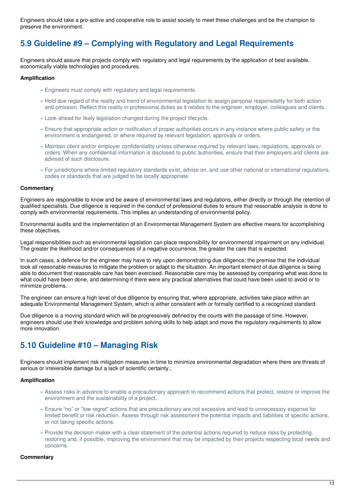Engineers should take a pro-active and cooperative role to assist society to meet these challenges and be the champion to preserve the environment.

# **5.9 Guideline #9 – Complying with Regulatory and Legal Requirements**

Engineers should assure that projects comply with regulatory and legal requirements by the application of best available, economically viable technologies and procedures.

# **Amplification**

- » Engineers must comply with regulatory and legal requirements.
- » Hold due regard of the reality and trend of environmental legislation to assign personal responsibility for both action and omission. Reflect this reality in professional duties as it relates to the engineer, employer, colleagues and clients.
- » Look-ahead for likely legislation changed during the project lifecycle.
- » Ensure that appropriate action or notification of proper authorities occurs in any instance where public safety or the environment is endangered, or where required by relevant legislation, approvals or orders.
- » Maintain client and/or employer confidentiality unless otherwise required by relevant laws, regulations, approvals or orders. When any confidential information is disclosed to public authorities, ensure that their employers and clients are advised of such disclosure.
- » For jurisdictions where limited regulatory standards exist, advise on, and use other national or international regulations, codes or standards that are judged to be locally appropriate.

#### **Commentary**

Engineers are responsible to know and be aware of environmental laws and regulations, either directly or through the retention of qualified specialists. Due diligence is required in the conduct of professional duties to ensure that reasonable analysis is done to comply with environmental requirements. This implies an understanding of environmental policy.

Environmental audits and the implementation of an Environmental Management System are effective means for accomplishing these objectives.

Legal responsibilities such as environmental legislation can place responsibility for environmental impairment on any individual. The greater the likelihood and/or consequences of a negative occurrence, the greater the care that is expected.

In such cases, a defence for the engineer may have to rely upon demonstrating due diligence; the premise that the individual took all reasonable measures to mitigate the problem or adapt to the situation. An important element of due diligence is being able to document that reasonable care has been exercised. Reasonable care may be assessed by comparing what was done to what could have been done, and determining if there were any practical alternatives that could have been used to avoid or to minimize problems.

The engineer can ensure a high level of due diligence by ensuring that, where appropriate, activities take place within an adequate Environmental Management System, which is either consistent with or formally certified to a recognized standard.

Due diligence is a moving standard which will be progressively defined by the courts with the passage of time. However, engineers should use their knowledge and problem solving skills to help adapt and move the regulatory requirements to allow more innovation.

# **5.10 Guideline #10 – Managing Risk**

Engineers should implement risk mitigation measures in time to minimize environmental degradation where there are threats of serious or irreversible damage but a lack of scientific certainty.,

#### **Amplification**

- Assess risks in advance to enable a precautionary approach to recommend actions that protect, restore or improve the » environment and the sustainability of a project.
- Ensure "no" or "low regret" actions that are precautionary are not excessive and lead to unnecessary expense for » limited benefit or risk reduction. Assess through risk assessment the potential impacts and liabilities of specific actions, or not taking specific actions.
- » Provide the decision-maker with a clear statement of the potential actions required to reduce risks by protecting, restoring and, if possible, improving the environment that may be impacted by their projects respecting local needs and concerns.

#### **Commentary**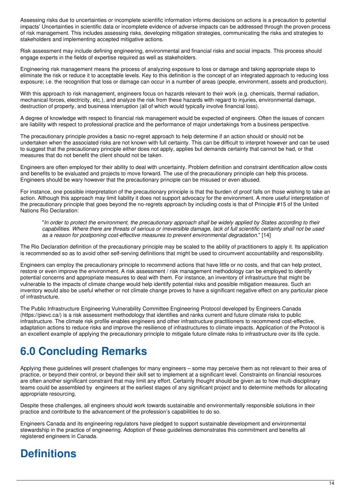Assessing risks due to uncertainties or incomplete scientific information informs decisions on actions is a precaution to potential impacts' Uncertainties in scientific data or incomplete evidence of adverse impacts can be addressed through the proven process of risk management. This includes assessing risks, developing mitigation strategies, communicating the risks and strategies to stakeholders and implementing accepted mitigative actions.

Risk assessment may include defining engineering, environmental and financial risks and social impacts. This process should engage experts in the fields of expertise required as well as stakeholders.

Engineering risk management means the process of analyzing exposure to loss or damage and taking appropriate steps to eliminate the risk or reduce it to acceptable levels. Key to this definition is the concept of an integrated approach to reducing loss exposure; i.e. the recognition that loss or damage can occur in a number of areas (people, environment, assets and production).

With this approach to risk management, engineers focus on hazards relevant to their work (e.g. chemicals, thermal radiation, mechanical forces, electricity, etc.), and analyze the risk from these hazards with regard to injuries, environmental damage, destruction of property, and business interruption (all of which would typically involve financial loss).

A degree of knowledge with respect to financial risk management would be expected of engineers. Often the issues of concern are liability with respect to professional practice and the performance of major undertakings from a business perspective.

The precautionary principle provides a basic no-regret approach to help determine if an action should or should not be undertaken when the associated risks are not known with full certainty. This can be difficult to interpret however and can be used to suggest that the precautionary principle either does not apply, applies but demands certainty that cannot be had, or that measures that do not benefit the client should not be taken.

Engineers are often employed for their ability to deal with uncertainty. Problem definition and constraint identification allow costs and benefits to be evaluated and projects to move forward. The use of the precautionary principle can help this process. Engineers should be wary however that the precautionary principle can be misused or even abused.

For instance, one possible interpretation of the precautionary principle is that the burden of proof falls on those wishing to take an action. Although this approach may limit liability it does not support advocacy for the environment. A more useful interpretation of the precautionary principle that goes beyond the no-regrets approach by including costs is that of Principle #15 of the United Nations Rio Declaration:

"In order to protect the environment, the precautionary approach shall be widely applied by States according to their capabilities. Where there are threats of serious or irreversible damage, lack of full scientific certainty shall not be used *as a reason for postponing cost-effective measures to prevent environmental degradation*." [14]

The Rio Declaration definition of the precautionary principle may be scaled to the ability of practitioners to apply it. Its application is recommended so as to avoid other self-serving definitions that might be used to circumvent accountability and responsibility.

Engineers can employ the precautionary principle to recommend actions that have little or no costs, and that can help protect, restore or even improve the environment. A risk assessment / risk management methodology can be employed to identify potential concerns and appropriate measures to deal with them. For instance, an inventory of infrastructure that might be vulnerable to the impacts of climate change would help identify potential risks and possible mitigation measures. Such an inventory would also be useful whether or not climate change proves to have a significant negative effect on any particular piece of infrastructure.

The Public Infrastructure Engineering Vulnerability Committee Engineering Protocol developed by Engineers Canada (https://pievc.ca/) is a risk assessment methodology that identifies and ranks current and future climate risks to public infrastructure. The climate risk profile enables engineers and other infrastructure practitioners to recommend cost-effective, adaptation actions to reduce risks and improve the resilience of infrastructures to climate impacts. Application of the Protocol is an excellent example of applying the precautionary principle to mitigate future climate risks to infrastructure over its life cycle.

# **6.0 Concluding Remarks**

Applying these guidelines will present challenges for many engineers – some may perceive them as not relevant to their area of practice, or beyond their control, or beyond their skill set to implement at a significant level. Constraints on financial resources are often another significant constraint that may limit any effort. Certainly thought should be given as to how multi-disciplinary teams could be assembled by engineers at the earliest stages of any significant project and to determine methods for allocating appropriate resourcing.

Despite these challenges, all engineers should work towards sustainable and environmentally responsible solutions in their practice and contribute to the advancement of the profession's capabilities to do so.

Engineers Canada and its engineering regulators have pledged to support sustainable development and environmental stewardship in the practice of engineering. Adoption of these guidelines demonstrates this commitment and benefits all registered engineers in Canada.

# **Definitions**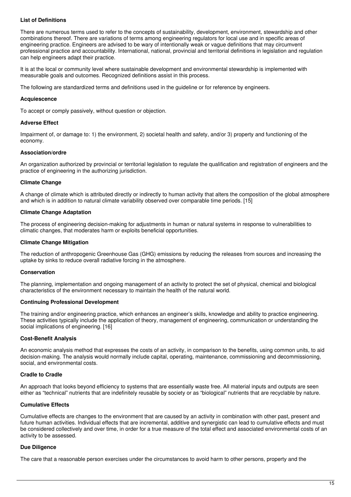### **List of Definitions**

There are numerous terms used to refer to the concepts of sustainability, development, environment, stewardship and other combinations thereof. There are variations of terms among engineering regulators for local use and in specific areas of engineering practice. Engineers are advised to be wary of intentionally weak or vague definitions that may circumvent professional practice and accountability. International, national, provincial and territorial definitions in legislation and regulation can help engineers adapt their practice.

It is at the local or community level where sustainable development and environmental stewardship is implemented with measurable goals and outcomes. Recognized definitions assist in this process.

The following are standardized terms and definitions used in the guideline or for reference by engineers.

#### **Acquiescence**

To accept or comply passively, without question or objection.

#### **Adverse Effect**

Impairment of, or damage to: 1) the environment, 2) societal health and safety, and/or 3) property and functioning of the economy.

### **Association/ordre**

An organization authorized by provincial or territorial legislation to regulate the qualification and registration of engineers and the practice of engineering in the authorizing jurisdiction.

#### **Climate Change**

A change of climate which is attributed directly or indirectly to human activity that alters the composition of the global atmosphere and which is in addition to natural climate variability observed over comparable time periods. [15]

#### **Climate Change Adaptation**

The process of engineering decision-making for adjustments in human or natural systems in response to vulnerabilities to climatic changes, that moderates harm or exploits beneficial opportunities.

#### **Climate Change Mitigation**

The reduction of anthropogenic Greenhouse Gas (GHG) emissions by reducing the releases from sources and increasing the uptake by sinks to reduce overall radiative forcing in the atmosphere.

#### **Conservation**

The planning, implementation and ongoing management of an activity to protect the set of physical, chemical and biological characteristics of the environment necessary to maintain the health of the natural world.

#### **Continuing Professional Development**

The training and/or engineering practice, which enhances an engineer's skills, knowledge and ability to practice engineering. These activities typically include the application of theory, management of engineering, communication or understanding the social implications of engineering. [16]

#### **Cost-Benefit Analysis**

An economic analysis method that expresses the costs of an activity, in comparison to the benefits, using common units, to aid decision-making. The analysis would normally include capital, operating, maintenance, commissioning and decommissioning, social, and environmental costs.

#### **Cradle to Cradle**

An approach that looks beyond efficiency to systems that are essentially waste free. All material inputs and outputs are seen either as "technical" nutrients that are indefinitely reusable by society or as "biological" nutrients that are recyclable by nature.

#### **Cumulative Effects**

Cumulative effects are changes to the environment that are caused by an activity in combination with other past, present and future human activities. Individual effects that are incremental, additive and synergistic can lead to cumulative effects and must be considered collectively and over time, in order for a true measure of the total effect and associated environmental costs of an activity to be assessed.

#### **Due Diligence**

The care that a reasonable person exercises under the circumstances to avoid harm to other persons, property and the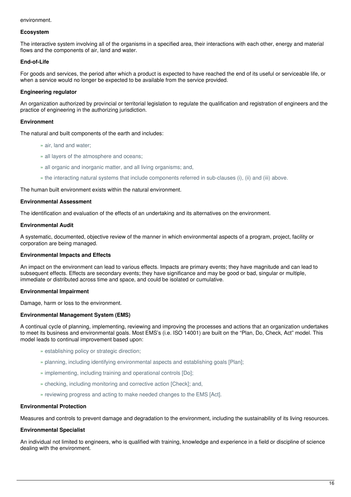#### environment.

#### **Ecosystem**

The interactive system involving all of the organisms in a specified area, their interactions with each other, energy and material flows and the components of air, land and water.

# **End-of-Life**

For goods and services, the period after which a product is expected to have reached the end of its useful or serviceable life, or when a service would no longer be expected to be available from the service provided.

### **Engineering regulator**

An organization authorized by provincial or territorial legislation to regulate the qualification and registration of engineers and the practice of engineering in the authorizing jurisdiction.

#### **Environment**

The natural and built components of the earth and includes:

- » air, land and water;
- » all layers of the atmosphere and oceans;
- » all organic and inorganic matter, and all living organisms; and,
- » the interacting natural systems that include components referred in sub-clauses (i), (ii) and (iii) above.

The human built environment exists within the natural environment.

#### **Environmental Assessment**

The identification and evaluation of the effects of an undertaking and its alternatives on the environment.

#### **Environmental Audit**

A systematic, documented, objective review of the manner in which environmental aspects of a program, project, facility or corporation are being managed.

### **Environmental Impacts and Effects**

An impact on the environment can lead to various effects. Impacts are primary events; they have magnitude and can lead to subsequent effects. Effects are secondary events; they have significance and may be good or bad, singular or multiple, immediate or distributed across time and space, and could be isolated or cumulative.

#### **Environmental Impairment**

Damage, harm or loss to the environment.

#### **Environmental Management System (EMS)**

A continual cycle of planning, implementing, reviewing and improving the processes and actions that an organization undertakes to meet its business and environmental goals. Most EMS's (i.e. ISO 14001) are built on the "Plan, Do, Check, Act" model. This model leads to continual improvement based upon:

- » establishing policy or strategic direction;
- » planning, including identifying environmental aspects and establishing goals [Plan];
- » implementing, including training and operational controls [Do];
- » checking, including monitoring and corrective action [Check]; and,
- » reviewing progress and acting to make needed changes to the EMS [Act].

#### **Environmental Protection**

Measures and controls to prevent damage and degradation to the environment, including the sustainability of its living resources.

#### **Environmental Specialist**

An individual not limited to engineers, who is qualified with training, knowledge and experience in a field or discipline of science dealing with the environment.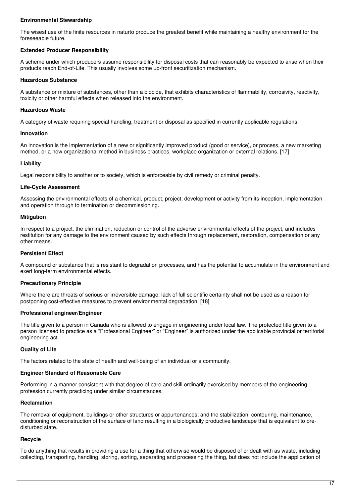# **Environmental Stewardship**

The wisest use of the finite resources in naturto produce the greatest benefit while maintaining a healthy environment for the foreseeable future.

# **Extended Producer Responsibility**

A scheme under which producers assume responsibility for disposal costs that can reasonably be expected to arise when their products reach End-of-Life. This usually involves some up-front securitization mechanism.

### **Hazardous Substance**

A substance or mixture of substances, other than a biocide, that exhibits characteristics of flammability, corrosivity, reactivity, toxicity or other harmful effects when released into the environment.

### **Hazardous Waste**

A category of waste requiring special handling, treatment or disposal as specified in currently applicable regulations.

### **Innovation**

An innovation is the implementation of a new or significantly improved product (good or service), or process, a new marketing method, or a new organizational method in business practices, workplace organization or external relations. [17]

# **Liability**

Legal responsibility to another or to society, which is enforceable by civil remedy or criminal penalty.

### **Life-Cycle Assessment**

Assessing the environmental effects of a chemical, product, project, development or activity from its inception, implementation and operation through to termination or decommissioning.

### **Mitigation**

In respect to a project, the elimination, reduction or control of the adverse environmental effects of the project, and includes restitution for any damage to the environment caused by such effects through replacement, restoration, compensation or any other means.

# **Persistent Effect**

A compound or substance that is resistant to degradation processes, and has the potential to accumulate in the environment and exert long-term environmental effects.

# **Precautionary Principle**

Where there are threats of serious or irreversible damage, lack of full scientific certainty shall not be used as a reason for postponing cost-effective measures to prevent environmental degradation. [18]

# **Professional engineer/Engineer**

The title given to a person in Canada who is allowed to engage in engineering under local law. The protected title given to a person licensed to practice as a "Professional Engineer" or "Engineer" is authorized under the applicable provincial or territorial engineering act.

# **Quality of Life**

The factors related to the state of health and well-being of an individual or a community.

#### **Engineer Standard of Reasonable Care**

Performing in a manner consistent with that degree of care and skill ordinarily exercised by members of the engineering profession currently practicing under similar circumstances.

# **Reclamation**

The removal of equipment, buildings or other structures or appurtenances; and the stabilization, contouring, maintenance, conditioning or reconstruction of the surface of land resulting in a biologically productive landscape that is equivalent to predisturbed state.

# **Recycle**

To do anything that results in providing a use for a thing that otherwise would be disposed of or dealt with as waste, including collecting, transporting, handling, storing, sorting, separating and processing the thing, but does not include the application of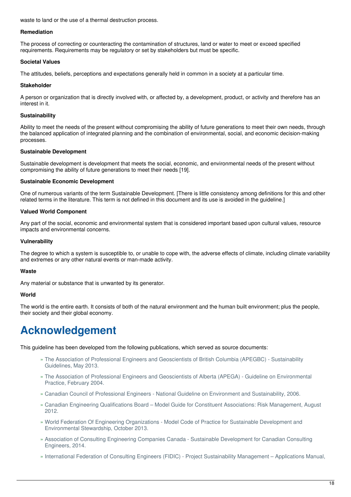waste to land or the use of a thermal destruction process.

### **Remediation**

The process of correcting or counteracting the contamination of structures, land or water to meet or exceed specified requirements. Requirements may be regulatory or set by stakeholders but must be specific.

### **Societal Values**

The attitudes, beliefs, perceptions and expectations generally held in common in a society at a particular time.

### **Stakeholder**

A person or organization that is directly involved with, or affected by, a development, product, or activity and therefore has an interest in it.

### **Sustainability**

Ability to meet the needs of the present without compromising the ability of future generations to meet their own needs, through the balanced application of integrated planning and the combination of environmental, social, and economic decision-making processes.

### **Sustainable Development**

Sustainable development is development that meets the social, economic, and environmental needs of the present without compromising the ability of future generations to meet their needs [19].

### **Sustainable Economic Development**

One of numerous variants of the term Sustainable Development. [There is little consistency among definitions for this and other related terms in the literature. This term is not defined in this document and its use is avoided in the guideline.]

### **Valued World Component**

Any part of the social, economic and environmental system that is considered important based upon cultural values, resource impacts and environmental concerns.

### **Vulnerability**

The degree to which a system is susceptible to, or unable to cope with, the adverse effects of climate, including climate variability and extremes or any other natural events or man-made activity.

# **Waste**

Any material or substance that is unwanted by its generator.

# **World**

The world is the entire earth. It consists of both of the natural environment and the human built environment; plus the people, their society and their global economy.

# **Acknowledgement**

This guideline has been developed from the following publications, which served as source documents:

- The Association of Professional Engineers and Geoscientists of British Columbia (APEGBC) Sustainability » Guidelines, May 2013.
- The Association of Professional Engineers and Geoscientists of Alberta (APEGA) Guideline on Environmental » Practice, February 2004.
- » Canadian Council of Professional Engineers National Guideline on Environment and Sustainability, 2006.
- Canadian Engineering Qualifications Board Model Guide for Constituent Associations: Risk Management, August » 2012.
- World Federation Of Engineering Organizations Model Code of Practice for Sustainable Development and » Environmental Stewardship, October 2013.
- Association of Consulting Engineering Companies Canada Sustainable Development for Canadian Consulting » Engineers, 2014.
- » International Federation of Consulting Engineers (FIDIC) Project Sustainability Management Applications Manual,